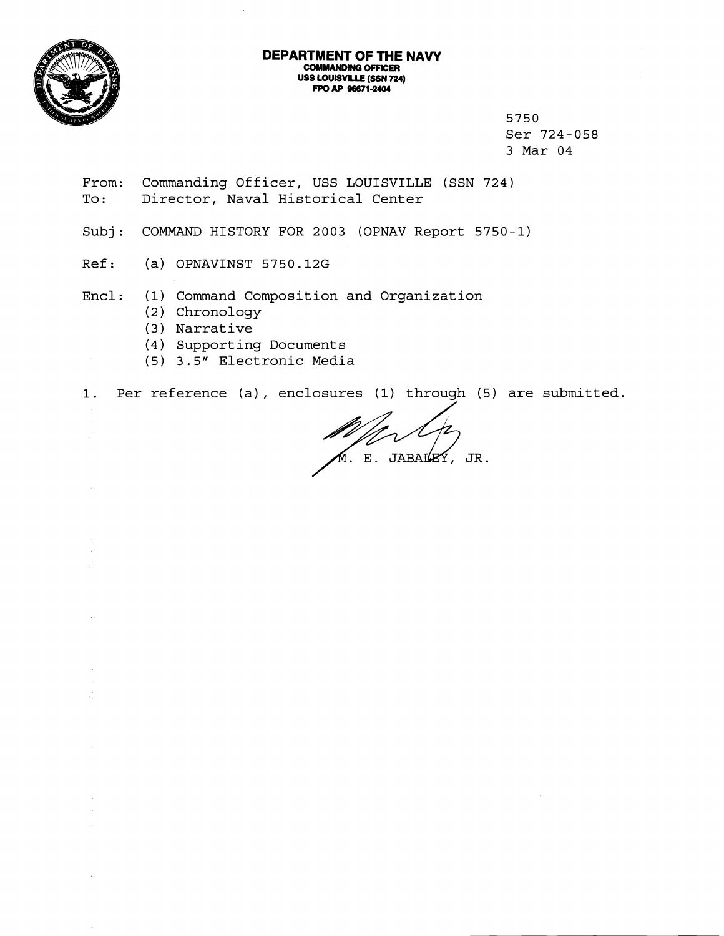

 $\bar{\mathcal{A}}$ 

## **DEPARTMENT OF THE NAVY COMMANWNO OFFICER USS LOUISVILLE (SSN 724)**<br>**FPO AP 96671-2404**

5750 Ser 724-058 3 Mar 04

- From: Commanding Officer, USS LOUISVILLE (SSN 724) To: Director, Naval Historical Center
- Subj: COMMAND HISTORY FOR 2003 (OPNAV Report 5750-1)
- Ref: (a) OPNAVINST 5750.12G
- Encl: (1) Command Composition and Organization
	- (2) Chronology
	- (3) Narrative
	- (4) Supporting Documents
	- (5) 3.5" Electronic Media

1. Per reference (a) , enclosures (1) through (5) are submitted.

M. E. JABALEY, JR.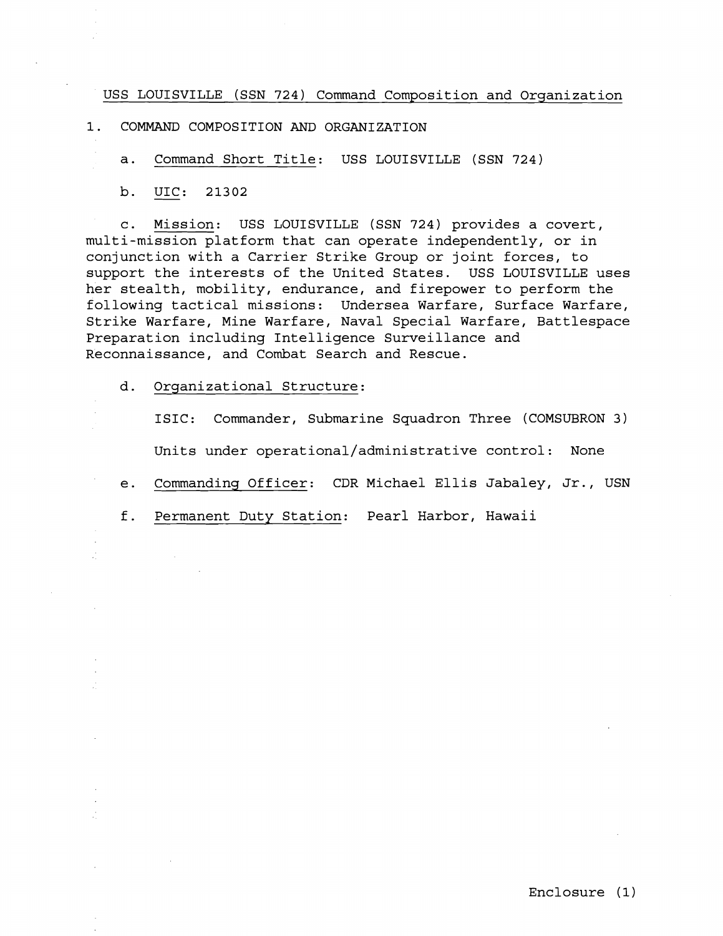USS LOUISVILLE (SSN 724) Command Composition and Organization

1. COMMAND COMPOSITION AND ORGANIZATION

a. Command Short Title: USS LOUISVILLE (SSN 724) COMMAND COMPOSIT<br>a. <u>Command Shor</u><br>b. <u>UIC</u>: 21302

c. Mission: USS LOUISVILLE (SSN 724) provides a covert, multi-mission platform that can operate independently, or in conjunction with a Carrier Strike Group or joint forces, to support the interests of the United States. USS LOUISVILLE uses her stealth, mobility, endurance, and firepower to perform the following tactical missions: Undersea Warfare, Surface Warfare, Strike Warfare, Mine Warfare, Naval Special Warfare, Battlespace Preparation including Intelligence Surveillance and Reconnaissance, and Combat Search and Rescue.

d. Organizational Structure:

ISIC: Commander, Submarine Squadron Three (COMSUBRON 3) Units under **operational/administrative** control: None

e. Commanding Officer: CDR Michael Ellis Jabaley, Jr., USN

f. Permanent Duty Station: Pearl Harbor, Hawaii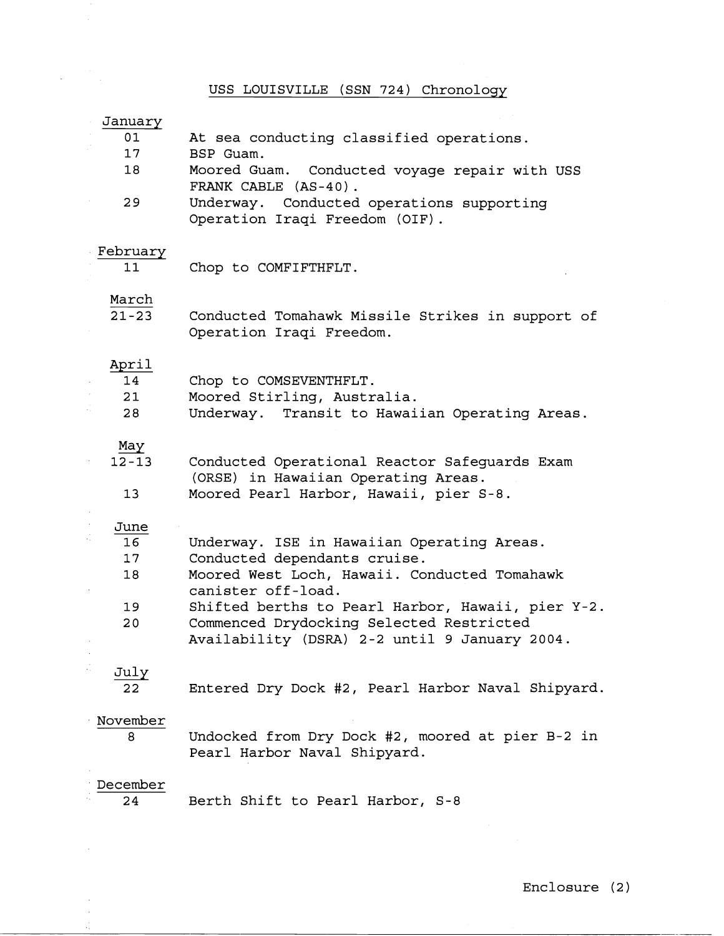#### USS LOUISVILLE (SSN 724) Chronology

### January 01 At sea conducting classified operations. 17 BSP Guam. 18 Moored Guam. Conducted voyage repair with USS FRANK CABLE (AS-40).<br>Underway. Conducted operations supporting 29 Operation Iraqi Freedom (OIF) . February 11 Chop to COMFIFTHFLT. March  $21 - 23$ Conducted Tomahawk Missile Strikes in support of Operation Iraqi Freedom. April 14 Chop to COMSEVENTHFLT. 21 Moored Stirling, Australia. 28 Underway. Transit to Hawaiian Operating Areas. *May*  12-13 Conducted Operational Reactor Safeguards Exam (ORSE) in Hawaiian Operating Areas.  $13$ Moored Pearl Harbor, Hawaii, pier S-8. June 16 Underway. ISE in Hawaiian Operating Areas.  $17$ Conducted dependants cruise. Moored West Loch, Hawaii. Conducted Tomahawk 18 canister off-load. 19 Shifted berths to Pearl Harbor, Hawaii, pier Y-2. 20 Commenced Drydocking Selected Restricted Availability (DSRA) 2-2 until 9 January 2004. July 22 Entered Dry Dock #2, Pearl Harbor Naval Shipyard. November 8 Undocked from Dry Dock #2, moored at pier B-2 in Pearl Harbor Naval Shipyard. December 24 Berth Shift to Pearl Harbor, S-8

Enclosure (2)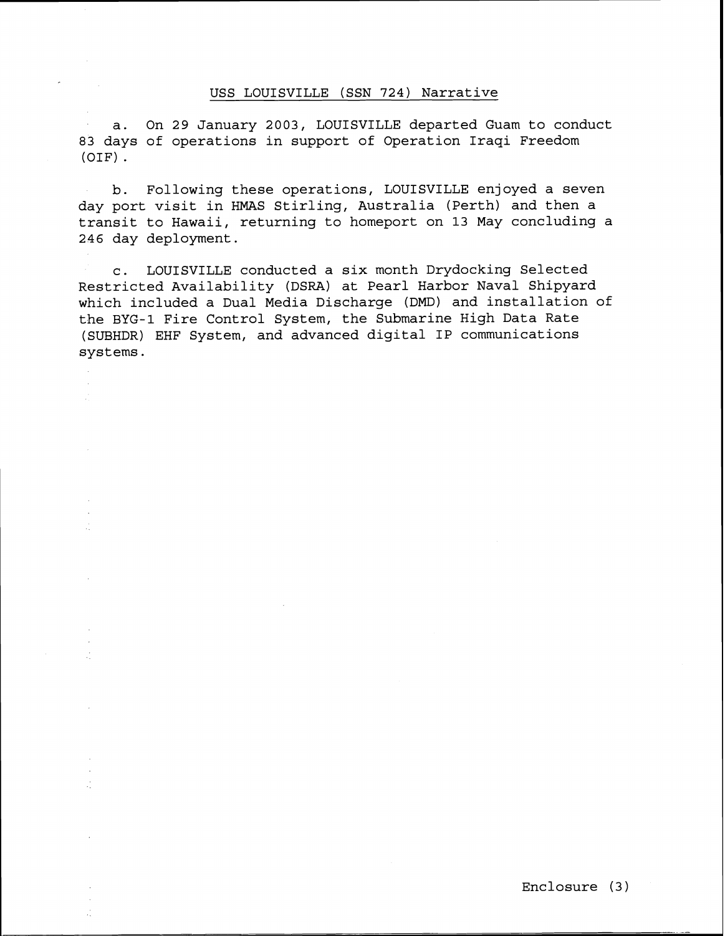### USS LOUISVILLE (SSN 724) Narrative

a. On 29 January 2003, LOUISVILLE departed Guam to conduct 83 days of operations in support of Operation Iraqi Freedom (OIF) .

b. Following these operations, LOUISVILLE enjoyed a seven day port visit in HMAS Stirling, Australia (Perth) and then a transit to Hawaii, returning to homeport on 13 May concluding a 246 day deployment.

c. LOUISVILLE conducted a six month Drydocking Selected Restricted Availability (DSRA) at Pearl Harbor Naval Shipyard which included a Dual Media Discharge (DMD) and installation of the BYG-1 Fire Control System, the Submarine High Data Rate (SUBHDR) EHF System, and advanced digital IP communications systems .

 $\bar{\gamma}$ 

 $\ddot{\phantom{a}}$ Ğ,

i,  $\mathcal{A}$  $\frac{1}{2}$